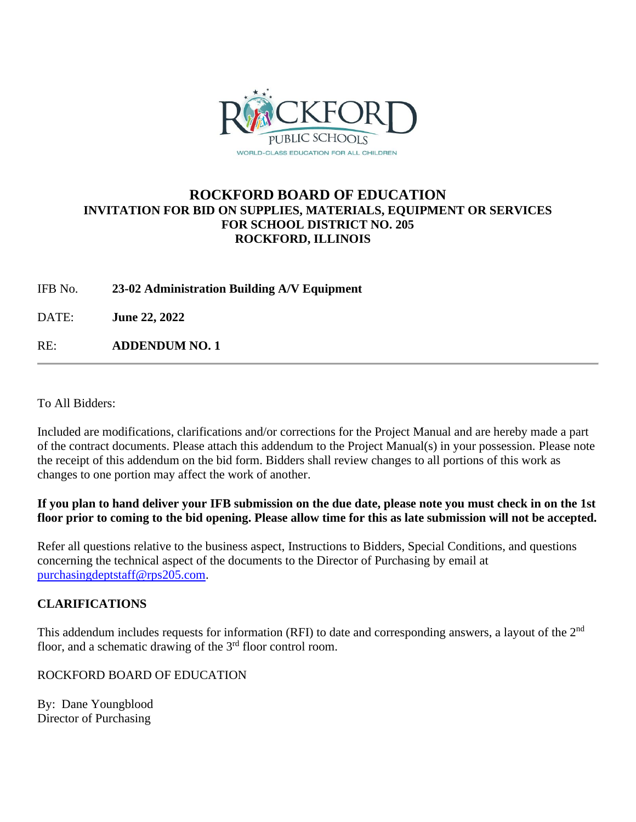

## **ROCKFORD BOARD OF EDUCATION INVITATION FOR BID ON SUPPLIES, MATERIALS, EQUIPMENT OR SERVICES FOR SCHOOL DISTRICT NO. 205 ROCKFORD, ILLINOIS**

IFB No. **23-02 Administration Building A/V Equipment**

DATE: **June 22, 2022**

RE: **ADDENDUM NO. 1**

To All Bidders:

Included are modifications, clarifications and/or corrections for the Project Manual and are hereby made a part of the contract documents. Please attach this addendum to the Project Manual(s) in your possession. Please note the receipt of this addendum on the bid form. Bidders shall review changes to all portions of this work as changes to one portion may affect the work of another.

**If you plan to hand deliver your IFB submission on the due date, please note you must check in on the 1st floor prior to coming to the bid opening. Please allow time for this as late submission will not be accepted.**

Refer all questions relative to the business aspect, Instructions to Bidders, Special Conditions, and questions concerning the technical aspect of the documents to the Director of Purchasing by email at [purchasingdeptstaff@rps205.com.](mailto:purchasingdeptstaff@rps205.com)

## **CLARIFICATIONS**

This addendum includes requests for information (RFI) to date and corresponding answers, a layout of the 2<sup>nd</sup> floor, and a schematic drawing of the  $3<sup>rd</sup>$  floor control room.

ROCKFORD BOARD OF EDUCATION

By: Dane Youngblood Director of Purchasing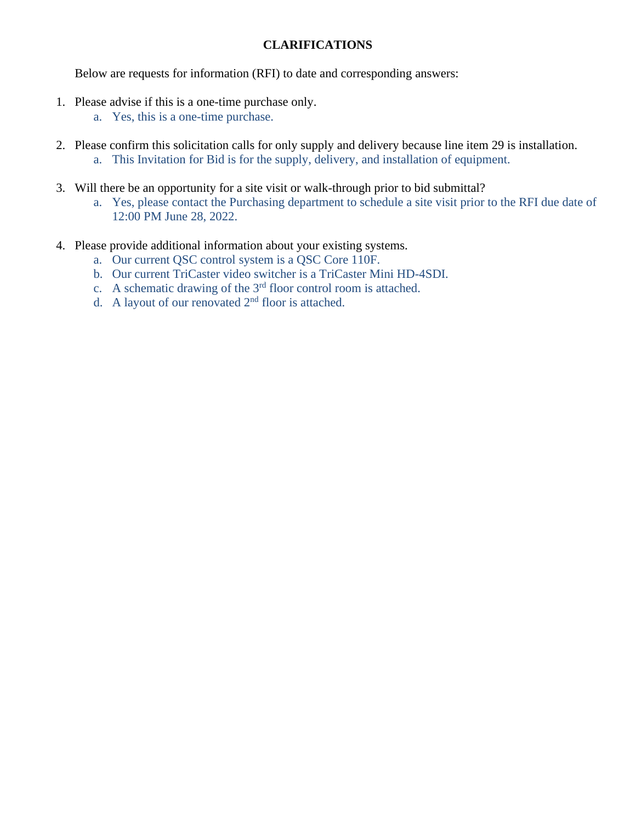## **CLARIFICATIONS**

Below are requests for information (RFI) to date and corresponding answers:

- 1. Please advise if this is a one-time purchase only.
	- a. Yes, this is a one-time purchase.
- 2. Please confirm this solicitation calls for only supply and delivery because line item 29 is installation. a. This Invitation for Bid is for the supply, delivery, and installation of equipment.
- 3. Will there be an opportunity for a site visit or walk-through prior to bid submittal?
	- a. Yes, please contact the Purchasing department to schedule a site visit prior to the RFI due date of 12:00 PM June 28, 2022.
- 4. Please provide additional information about your existing systems.
	- a. Our current QSC control system is a QSC Core 110F.
	- b. Our current TriCaster video switcher is a TriCaster Mini HD-4SDI.
	- c. A schematic drawing of the  $3<sup>rd</sup>$  floor control room is attached.
	- d. A layout of our renovated  $2<sup>nd</sup>$  floor is attached.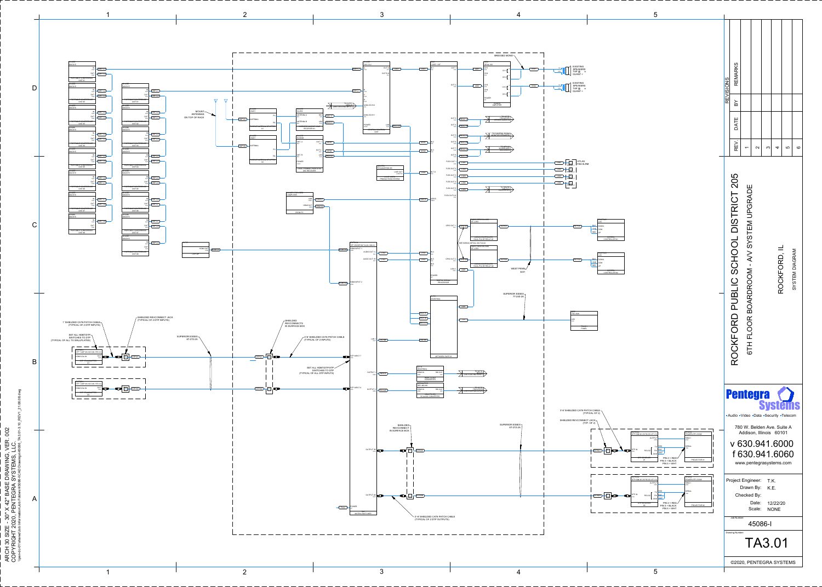



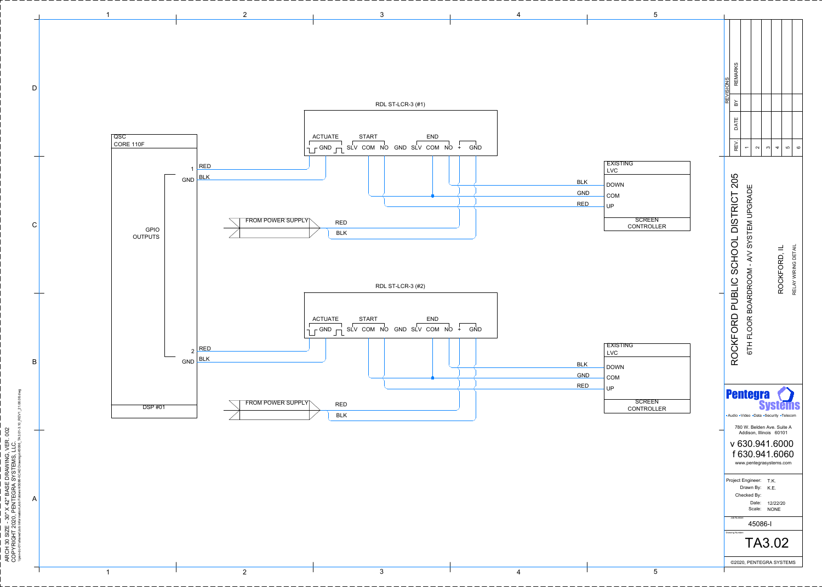

 $\overline{1}$ 

 $\frac{1}{2}$  $\overline{\mathbf{c}}$ 

| <b>BLK</b><br><b>GND</b><br><b>RED</b> | <b>EXISTING</b><br><b>LVC</b><br><b>DOWN</b><br><b>COM</b><br>UP |
|----------------------------------------|------------------------------------------------------------------|
|                                        | <b>SCREEN</b><br><b>CONTROLLER</b>                               |

5

 $\mathcal{L}$ 

|            | <b>EXISTING</b>   |
|------------|-------------------|
|            | <b>LVC</b>        |
| <b>BLK</b> | <b>DOWN</b>       |
| <b>GND</b> | <b>COM</b>        |
| <b>RED</b> | <b>UP</b>         |
|            |                   |
|            | <b>SCREEN</b>     |
|            | <b>CONTROLLER</b> |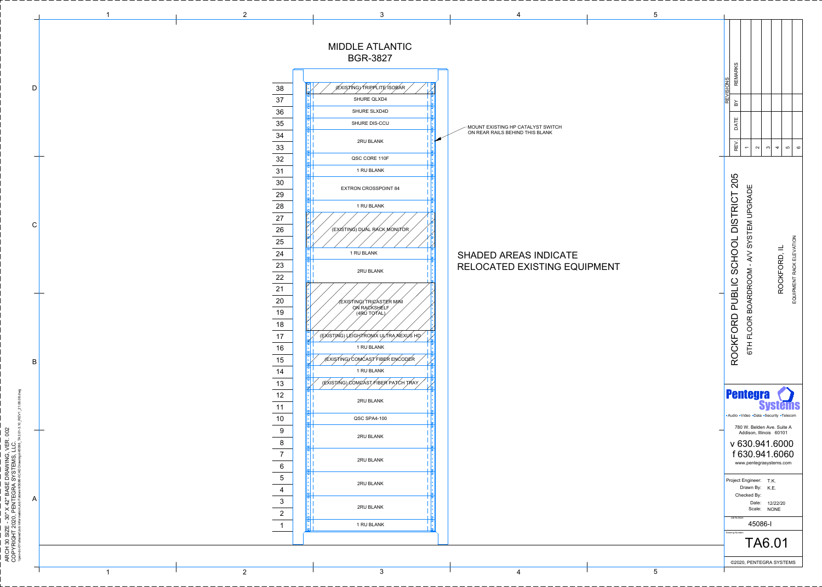